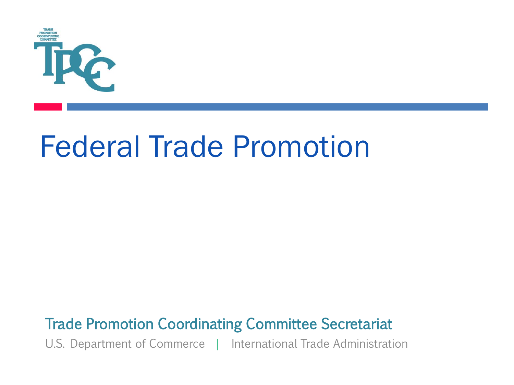

# Federal Trade Promotion

#### Trade Promotion Coordinating Committee Secretariat

U.S. Department of Commerce | International Trade Administration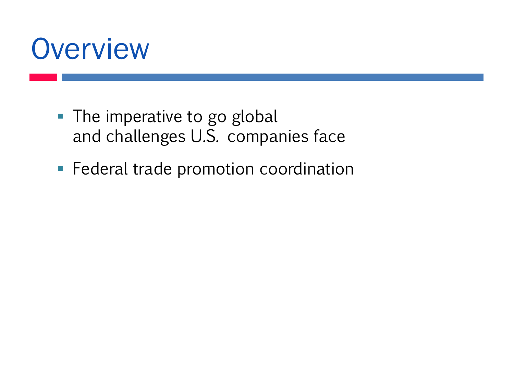

- $\blacksquare$  The imperative to go global and challenges U.S. companies face
- **Example 2** Federal trade promotion coordination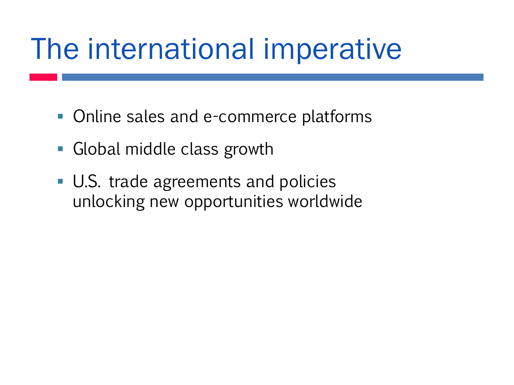# The international imperative

- Online sales and e-commerce platforms
- Global middle class growth
- U.S. trade agreements and policies unlocking new opportunities worldwide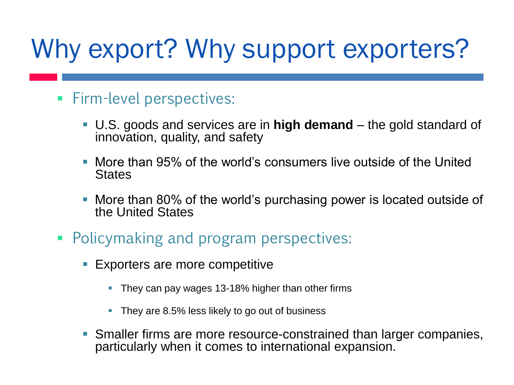## Why export? Why support exporters?

- **Firm-level perspectives:** 
	- U.S. goods and services are in **high demand**  the gold standard of innovation, quality, and safety
	- More than 95% of the world's consumers live outside of the United **States**
	- More than 80% of the world's purchasing power is located outside of the United States
- Policymaking and program perspectives:
	- Exporters are more competitive
		- They can pay wages 13-18% higher than other firms
		- They are 8.5% less likely to go out of business
	- Smaller firms are more resource-constrained than larger companies, particularly when it comes to international expansion.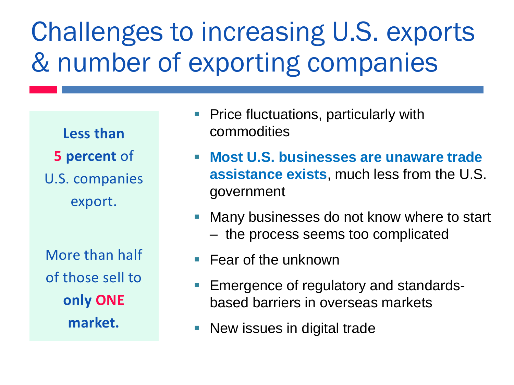## Challenges to increasing U.S. exports & number of exporting companies

**Less than 5 percent** of U.S. companies export.

More than half of those sell to **only ONE market.**

- Price fluctuations, particularly with commodities
- **Most U.S. businesses are unaware trade assistance exists**, much less from the U.S. government
- Many businesses do not know where to start – the process seems too complicated
- $\blacksquare$  Fear of the unknown
- Emergence of regulatory and standardsbased barriers in overseas markets
- New issues in digital trade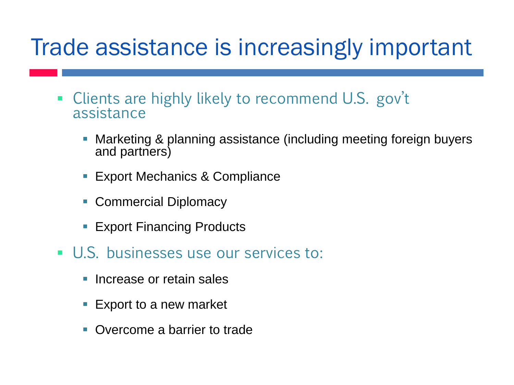#### Trade assistance is increasingly important

- Clients are highly likely to recommend U.S. gov't assistance
	- Marketing & planning assistance (including meeting foreign buyers and partners)
	- **Export Mechanics & Compliance**
	- Commercial Diplomacy
	- **Export Financing Products**
- **U.S. businesses use our services to:** 
	- Increase or retain sales
	- Export to a new market
	- Overcome a barrier to trade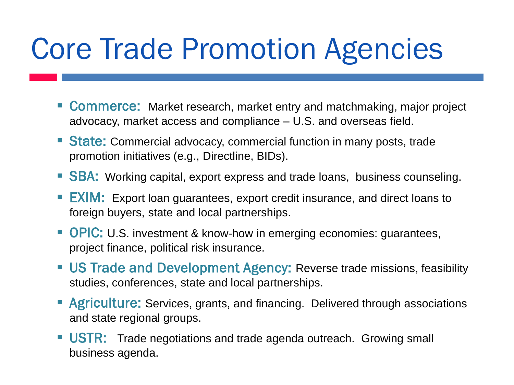# Core Trade Promotion Agencies

- **Commerce:** Market research, market entry and matchmaking, major project advocacy, market access and compliance – U.S. and overseas field.
- **State:** Commercial advocacy, commercial function in many posts, trade promotion initiatives (e.g., Directline, BIDs).
- SBA: Working capital, export express and trade loans, business counseling.
- **EXIM:** Export loan guarantees, export credit insurance, and direct loans to foreign buyers, state and local partnerships.
- OPIC: U.S. investment & know-how in emerging economies: guarantees, project finance, political risk insurance.
- **US Trade and Development Agency: Reverse trade missions, feasibility** studies, conferences, state and local partnerships.
- **E** Agriculture: Services, grants, and financing. Delivered through associations and state regional groups.
- USTR: Trade negotiations and trade agenda outreach. Growing small business agenda.